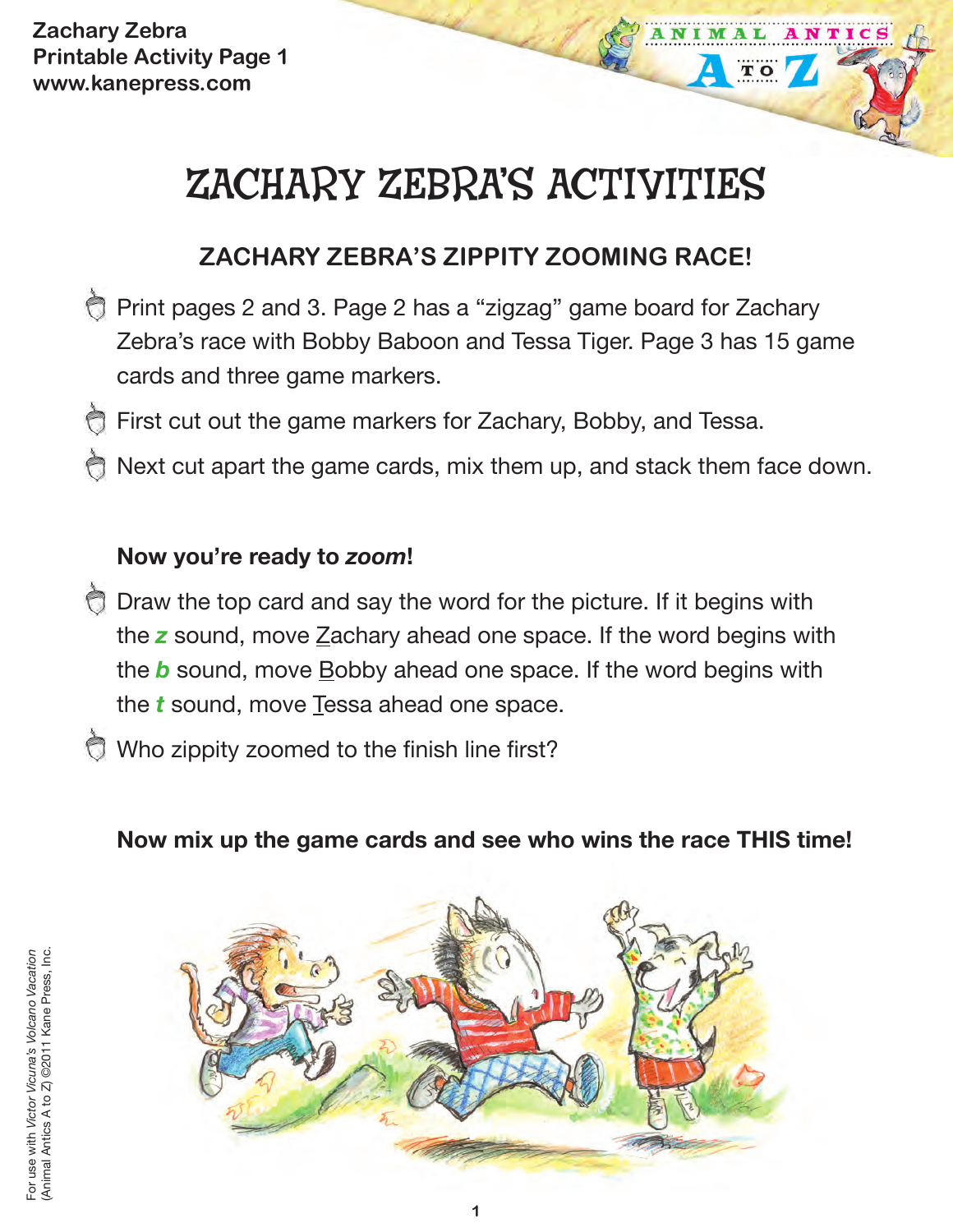**Zachary Zebra Printable Activity Page 1 www.kanepress.com**

# ZACHARY ZEBRA'S ACTIVITIES

TO

## **ZACHARY ZEBRA'S ZIPPITY ZOOMING RACE!**

- Print pages 2 and 3. Page 2 has a "zigzag" game board for Zachary Zebra's race with Bobby Baboon and Tessa Tiger. Page 3 has 15 game cards and three game markers.
- First cut out the game markers for Zachary, Bobby, and Tessa.
- Next cut apart the game cards, mix them up, and stack them face down.

#### **Now you're ready to** *zoom***!**

- Draw the top card and say the word for the picture. If it begins with the z sound, move Zachary ahead one space. If the word begins with the *b* sound, move Bobby ahead one space. If the word begins with the *t* sound, move Tessa ahead one space.
- Who zippity zoomed to the finish line first?

**Now mix up the game cards and see who wins the race THIS time!**

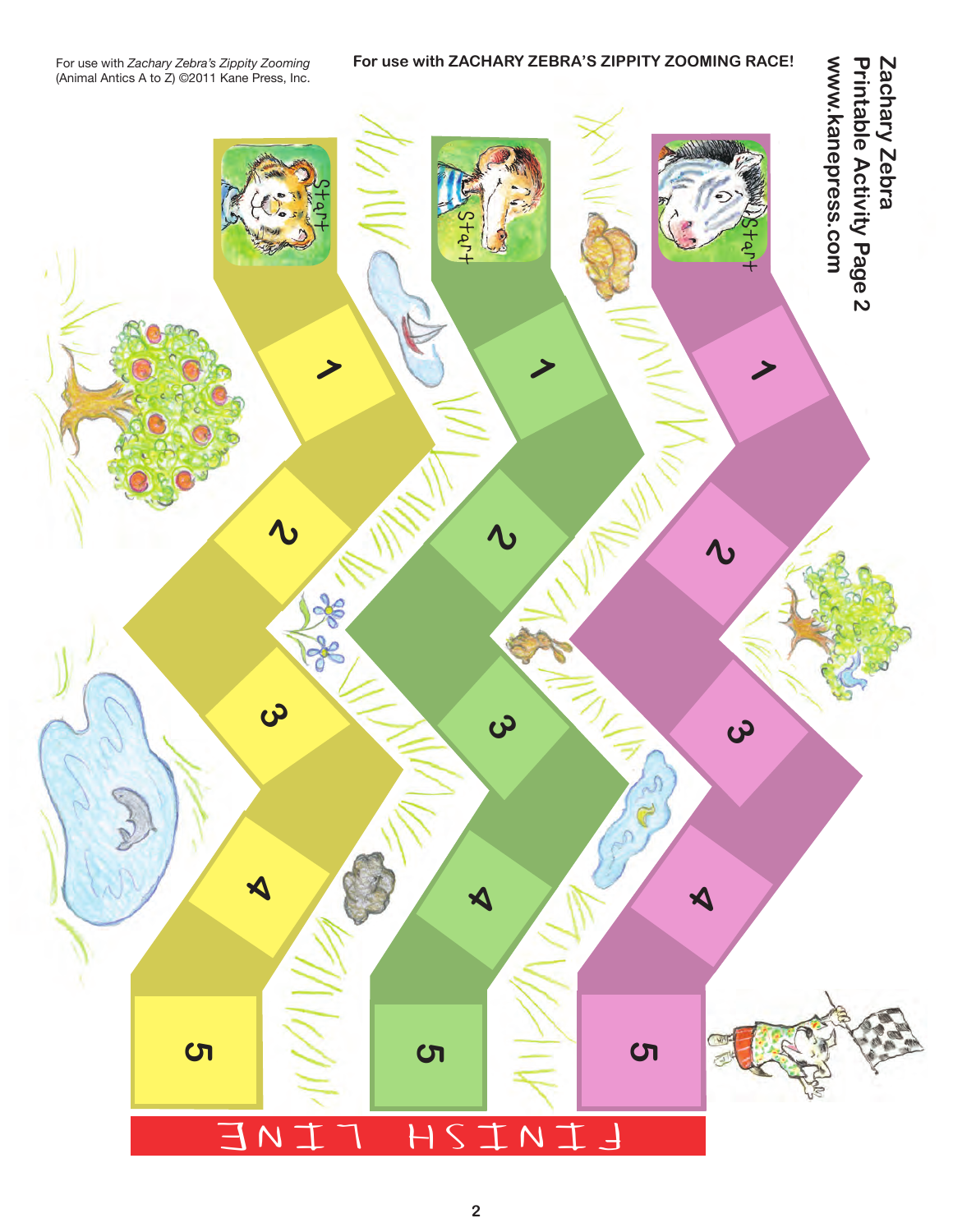#### **For use with ZACHARY ZEBRA'S ZIPPITY ZOOMING RACE!**

Zachary Zebra<br>Printable Activity Page 2 www.kanepress.com **www.kanepress.com Zachary Zebra Printable Activity Page 2**

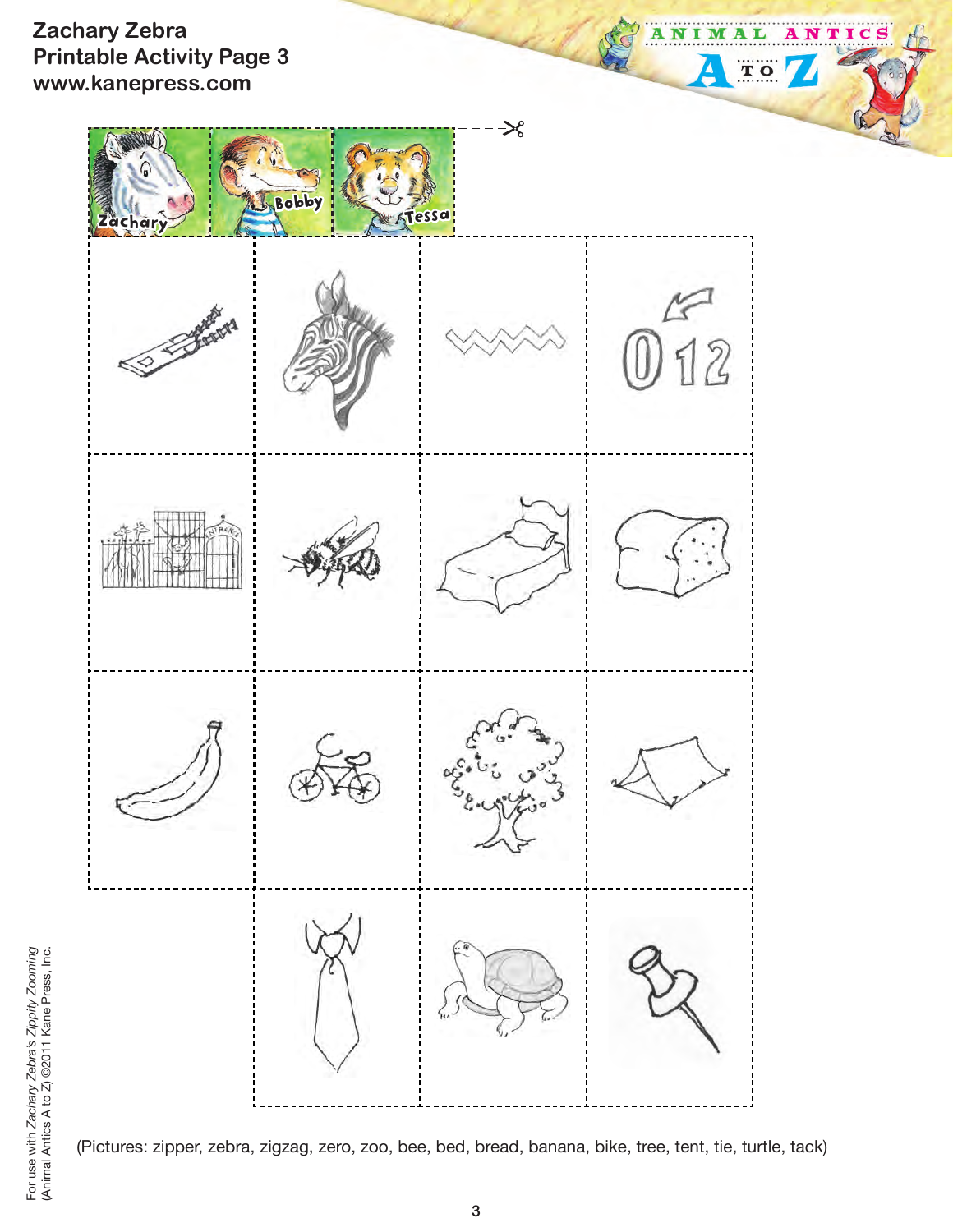#### **Zachary Zebra Printable Activity Page 3 www.kanepress.com**



ANIM

 $\blacktriangle$ 

A L

 $T$  O

ТI

C

(Pictures: zipper, zebra, zigzag, zero, zoo, bee, bed, bread, banana, bike, tree, tent, tie, turtle, tack)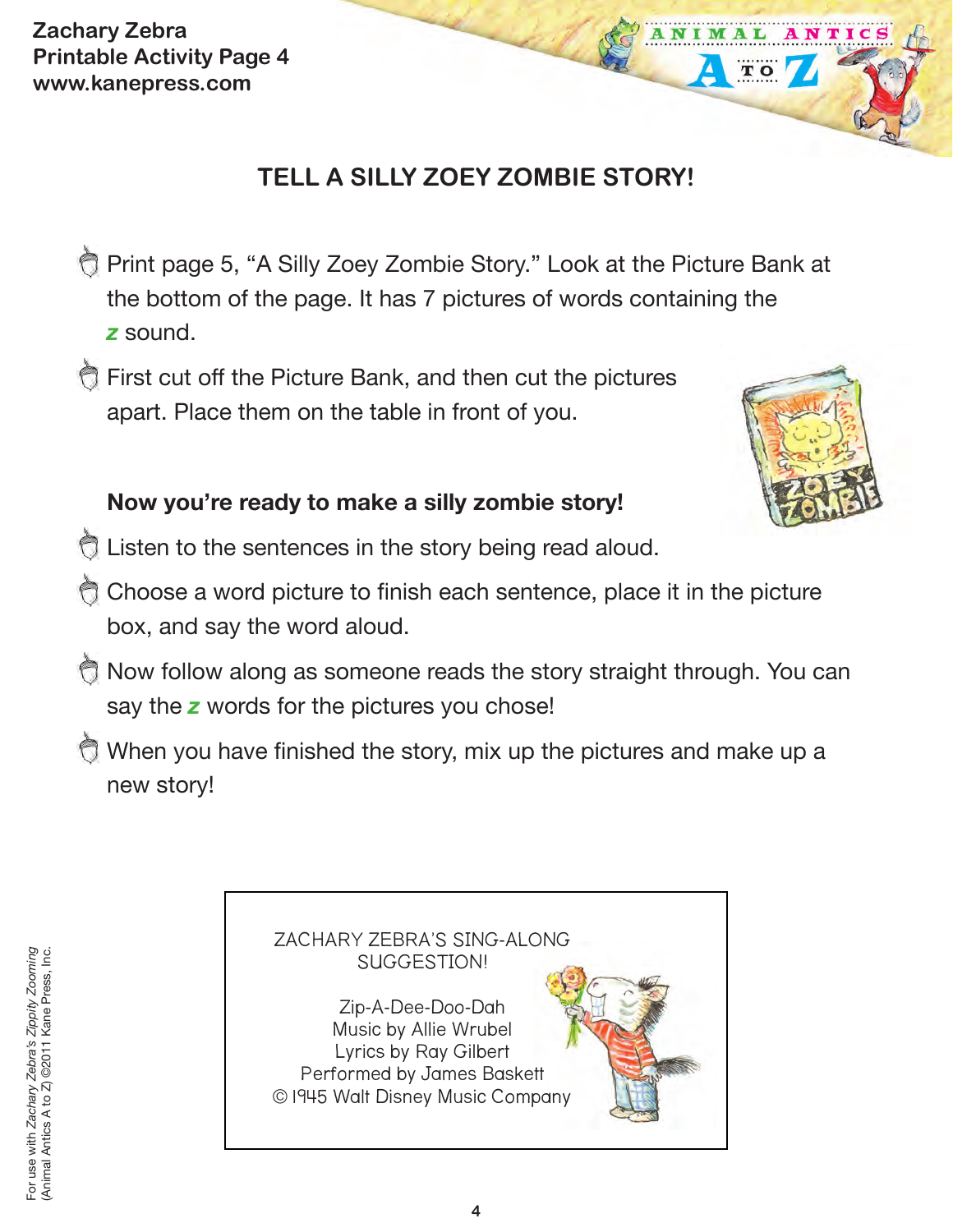**Zachary Zebra Printable Activity Page 4 www.kanepress.com**

## **TELL A SILLY ZOEY ZOMBIE STORY!**

- **Print page 5, "A Silly Zoey Zombie Story." Look at the Picture Bank at** the bottom of the page. It has 7 pictures of words containing the *z* sound.
- First cut off the Picture Bank, and then cut the pictures apart. Place them on the table in front of you.



 $\overline{\mathbf{T}}$  O

### **Now you're ready to make a silly zombie story!**

- E Listen to the sentences in the story being read aloud.
- Choose a word picture to finish each sentence, place it in the picture box, and say the word aloud.
- Now follow along as someone reads the story straight through. You can say the *z* words for the pictures you chose!
- When you have finished the story, mix up the pictures and make up a new story!

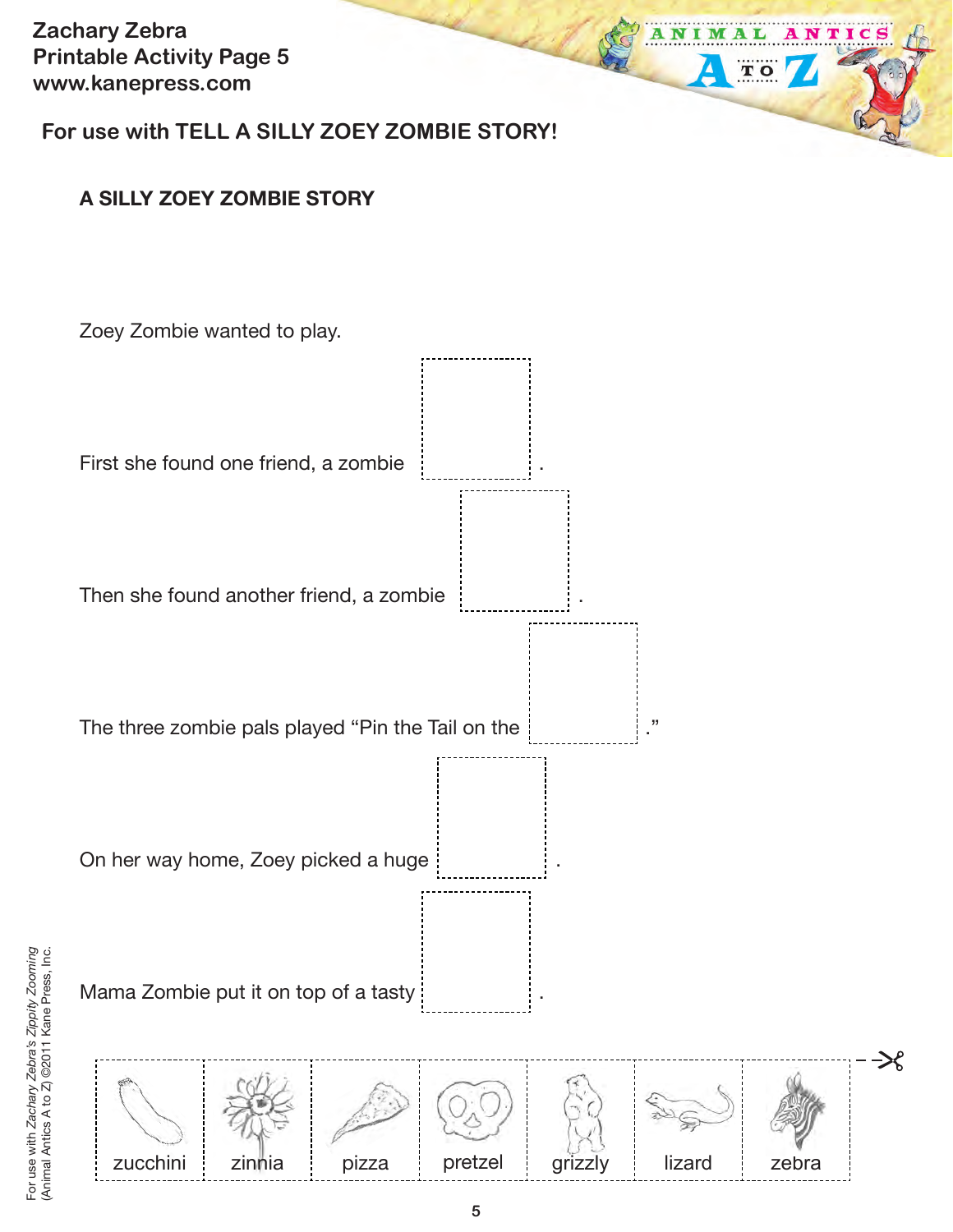**Zachary Zebra Printable Activity Page 5 www.kanepress.com**

**For use with TELL A SILLY ZOEY ZOMBIE STORY!**

#### **A SILLY ZOEY ZOMBIE STORY**



M

TO

NTIC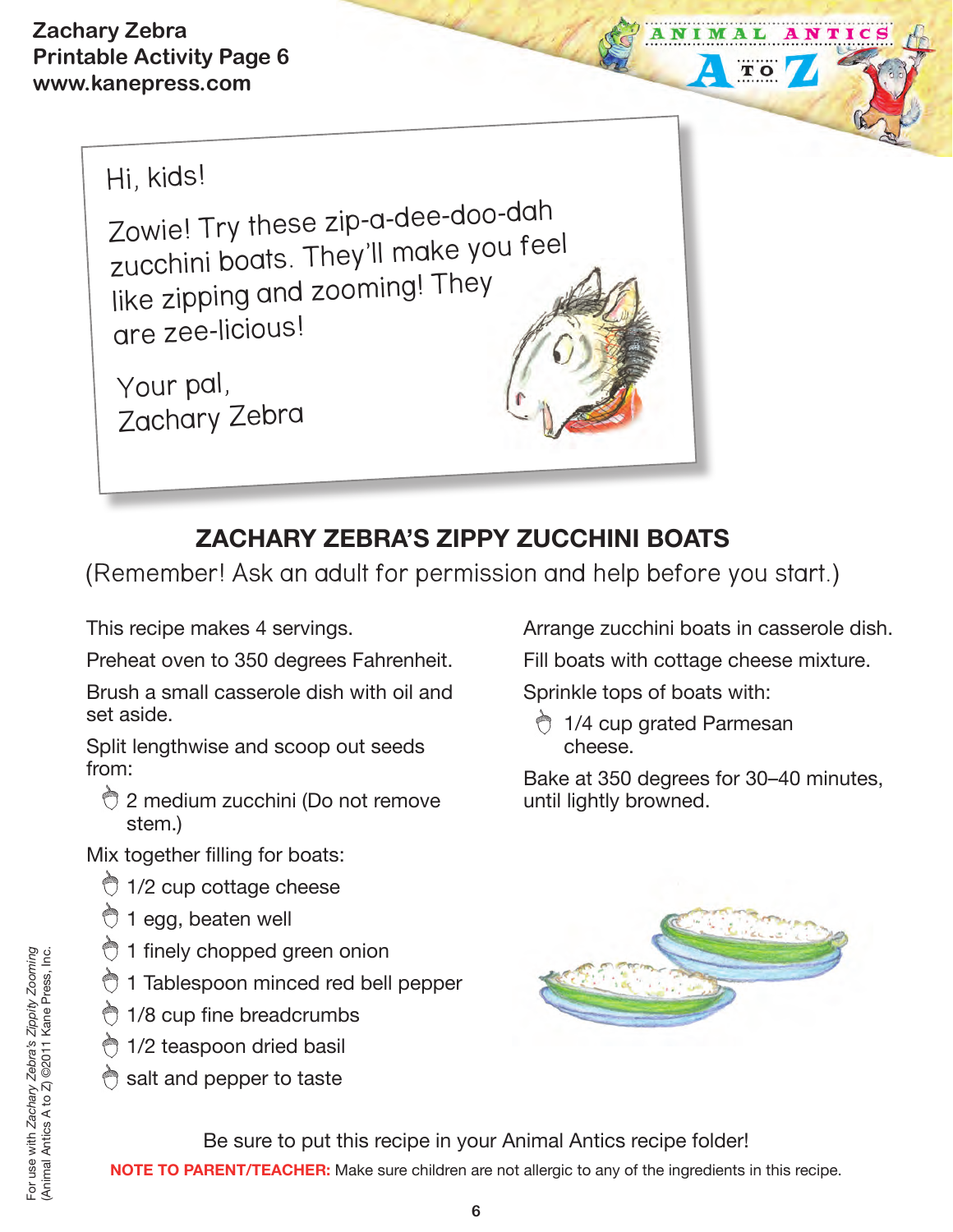**Zachary Zebra Printable Activity Page 6 www.kanepress.com**



Zowie! Try these zip-a-dee-doo-dah zucchini boats. They'll make you feel like zipping and zooming! They are zee-licious!

Your pal, Zachary Zebra

## **ZACHARY ZEBRA'S ZIPPY ZUCCHINI BOATS**

(Remember! Ask an adult for permission and help before you start.)

This recipe makes 4 servings.

Preheat oven to 350 degrees Fahrenheit.

Brush a small casserole dish with oil and set aside.

Split lengthwise and scoop out seeds from:

**2** medium zucchini (Do not remove stem.)

Mix together filling for boats:

- $\bigcirc$  1/2 cup cottage cheese
- <sup>t</sup> 1 egg, beaten well
- the 1 finely chopped green onion
- **1** Tablespoon minced red bell pepper
- the breadcrumbs
- **1/2 teaspoon dried basil**
- $\bigcirc$  salt and pepper to taste

Arrange zucchini boats in casserole dish. Fill boats with cottage cheese mixture.

 $\overline{\mathbf{T}}$  O

Sprinkle tops of boats with:

 1/4 cup grated Parmesan cheese.

Bake at 350 degrees for 30–40 minutes, until lightly browned.



Be sure to put this recipe in your Animal Antics recipe folder! **NOTE TO PARENT/TEACHER:** Make sure children are not allergic to any of the ingredients in this recipe.